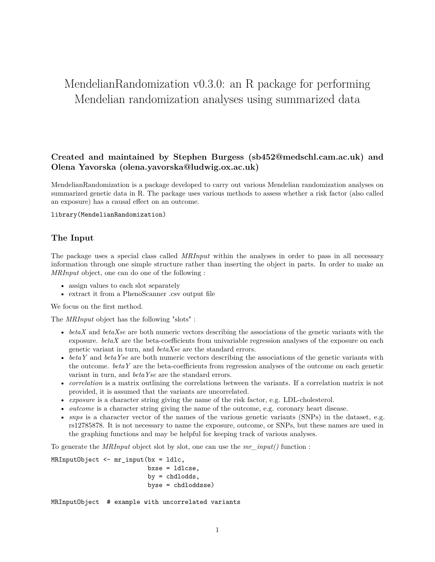# MendelianRandomization v0.3.0: an R package for performing Mendelian randomization analyses using summarized data

## **Created and maintained by Stephen Burgess (sb452@medschl.cam.ac.uk) and Olena Yavorska (olena.yavorska@ludwig.ox.ac.uk)**

MendelianRandomization is a package developed to carry out various Mendelian randomization analyses on summarized genetic data in R. The package uses various methods to assess whether a risk factor (also called an exposure) has a causal effect on an outcome.

#### library(MendelianRandomization)

#### **The Input**

The package uses a special class called *MRInput* within the analyses in order to pass in all necessary information through one simple structure rather than inserting the object in parts. In order to make an *MRInput* object, one can do one of the following :

- assign values to each slot separately
- extract it from a PhenoScanner .csv output file

We focus on the first method.

The *MRInput* object has the following "slots" :

- *betaX* and *betaXse* are both numeric vectors describing the associations of the genetic variants with the exposure. *betaX* are the beta-coefficients from univariable regression analyses of the exposure on each genetic variant in turn, and *betaXse* are the standard errors.
- *betaY* and *betaYse* are both numeric vectors describing the associations of the genetic variants with the outcome. *betaY* are the beta-coefficients from regression analyses of the outcome on each genetic variant in turn, and *betaYse* are the standard errors.
- *correlation* is a matrix outlining the correlations between the variants. If a correlation matrix is not provided, it is assumed that the variants are uncorrelated.
- *exposure* is a character string giving the name of the risk factor, e.g. LDL-cholesterol.
- *outcome* is a character string giving the name of the outcome, e.g. coronary heart disease.
- *snps* is a character vector of the names of the various genetic variants (SNPs) in the dataset, e.g. rs12785878. It is not necessary to name the exposure, outcome, or SNPs, but these names are used in the graphing functions and may be helpful for keeping track of various analyses.

To generate the *MRInput* object slot by slot, one can use the *mr\_input()* function :

```
MRInputObject <- mr_input(bx = ldlc,
                          bxse = ldlcse,
                          by = chdlodds,
                          byse = chdloddsse)
```
MRInputObject # example with uncorrelated variants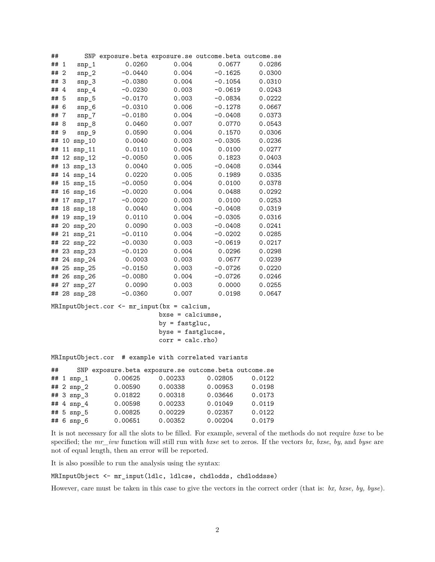| ##   |                | SNP                | exposure.beta exposure.se outcome.beta outcome.se |       |           |        |
|------|----------------|--------------------|---------------------------------------------------|-------|-----------|--------|
| ## 1 |                | $\text{snp}_1$     | 0.0260                                            | 0.004 | 0.0677    | 0.0286 |
| ##   | $\overline{2}$ | $snp_2$            | $-0.0440$                                         | 0.004 | $-0.1625$ | 0.0300 |
| ## 3 |                | $\text{snp}_3$     | $-0.0380$                                         | 0.004 | $-0.1054$ | 0.0310 |
| ##   | -4             | $snp_4$            | $-0.0230$                                         | 0.003 | $-0.0619$ | 0.0243 |
| ## 5 |                | $snp_5$            | $-0.0170$                                         | 0.003 | $-0.0834$ | 0.0222 |
| ##   | -6             | $sup_{-6}$         | $-0.0310$                                         | 0.006 | $-0.1278$ | 0.0667 |
| ##   | -7             | $snp_7$            | $-0.0180$                                         | 0.004 | $-0.0408$ | 0.0373 |
| ##   | 8              | $sup_8$            | 0.0460                                            | 0.007 | 0.0770    | 0.0543 |
| ##   | 9              | $sup_{9}$          | 0.0590                                            | 0.004 | 0.1570    | 0.0306 |
| ##   | 10             | $sup_10$           | 0.0040                                            | 0.003 | $-0.0305$ | 0.0236 |
| ##   | 11             | sup 11             | 0.0110                                            | 0.004 | 0.0100    | 0.0277 |
| ##   |                | 12 snp_12          | $-0.0050$                                         | 0.005 | 0.1823    | 0.0403 |
| ##   |                | $13$ snp_13        | 0.0040                                            | 0.005 | $-0.0408$ | 0.0344 |
| ##   |                | 14 $\text{snp}_14$ | 0.0220                                            | 0.005 | 0.1989    | 0.0335 |
| ##   |                | $15$ snp_15        | $-0.0050$                                         | 0.004 | 0.0100    | 0.0378 |
| ##   | 16             | $snp_16$           | $-0.0020$                                         | 0.004 | 0.0488    | 0.0292 |
| ##   | 17             | $snp_17$           | $-0.0020$                                         | 0.003 | 0.0100    | 0.0253 |
| ##   |                | 18 snp_18          | 0.0040                                            | 0.004 | $-0.0408$ | 0.0319 |
| ##   | 19             | $sup$ 19           | 0.0110                                            | 0.004 | $-0.0305$ | 0.0316 |
| ##   | 20             | $snp_2$            | 0.0090                                            | 0.003 | $-0.0408$ | 0.0241 |
| ##   | 21             | $sup_2 21$         | $-0.0110$                                         | 0.004 | $-0.0202$ | 0.0285 |
| ##   |                | 22 snp_22          | $-0.0030$                                         | 0.003 | $-0.0619$ | 0.0217 |
| ##   |                | 23 snp_23          | $-0.0120$                                         | 0.004 | 0.0296    | 0.0298 |
| ##   |                | 24 snp_24          | 0.0003                                            | 0.003 | 0.0677    | 0.0239 |
| ##   |                | 25 snp_25          | $-0.0150$                                         | 0.003 | $-0.0726$ | 0.0220 |
| ##   | 26             | $snp_2$            | $-0.0080$                                         | 0.004 | $-0.0726$ | 0.0246 |
| ##   | 27             | $sup_2 27$         | 0.0090                                            | 0.003 | 0.0000    | 0.0255 |
|      |                | ## 28 snp 28       | $-0.0360$                                         | 0.007 | 0.0198    | 0.0647 |

MRInputObject.cor <- mr\_input(bx = calcium, bxse = calciumse, by = fastgluc, byse = fastglucse, corr = calc.rho)

MRInputObject.cor # example with correlated variants

| ## |                        | SNP exposure.beta exposure.se outcome.beta outcome.se |         |         |        |
|----|------------------------|-------------------------------------------------------|---------|---------|--------|
|    | ## $1$ snp_1           | 0.00625                                               | 0.00233 | 0.02805 | 0.0122 |
|    | ## 2 $\text{snp}_2$    | 0.00590                                               | 0.00338 | 0.00953 | 0.0198 |
|    | ## $3 \, \text{snp}_3$ | 0.01822                                               | 0.00318 | 0.03646 | 0.0173 |
|    | $# 4$ snp 4            | 0.00598                                               | 0.00233 | 0.01049 | 0.0119 |
|    | ## $5$ snp $5$         | 0.00825                                               | 0.00229 | 0.02357 | 0.0122 |
|    | ## $6$ snp_6           | 0.00651                                               | 0.00352 | 0.00204 | 0.0179 |

It is not necessary for all the slots to be filled. For example, several of the methods do not require *bxse* to be specified; the *mr\_ivw* function will still run with *bxse* set to zeros. If the vectors *bx*, *bxse*, *by*, and *byse* are not of equal length, then an error will be reported.

It is also possible to run the analysis using the syntax:

MRInputObject <- mr\_input(ldlc, ldlcse, chdlodds, chdloddsse)

However, care must be taken in this case to give the vectors in the correct order (that is: *bx, bxse, by, byse*).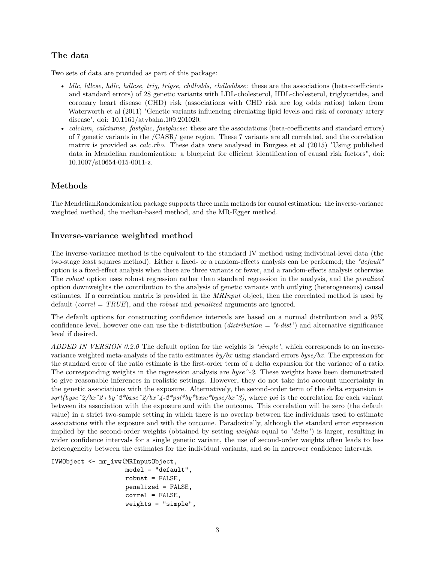# **The data**

Two sets of data are provided as part of this package:

- *ldlc, ldlcse, hdlc, hdlcse, trig, trigse, chdlodds, chdloddsse*: these are the associations (beta-coefficients and standard errors) of 28 genetic variants with LDL-cholesterol, HDL-cholesterol, triglycerides, and coronary heart disease (CHD) risk (associations with CHD risk are log odds ratios) taken from Waterworth et al (2011) "Genetic variants influencing circulating lipid levels and risk of coronary artery disease", doi: 10.1161/atvbaha.109.201020.
- *calcium, calciumse, fastgluc, fastglucse*: these are the associations (beta-coefficients and standard errors) of 7 genetic variants in the /CASR/ gene region. These 7 variants are all correlated, and the correlation matrix is provided as *calc.rho*. These data were analysed in Burgess et al (2015) "Using published data in Mendelian randomization: a blueprint for efficient identification of causal risk factors", doi: 10.1007/s10654-015-0011-z.

# **Methods**

The MendelianRandomization package supports three main methods for causal estimation: the inverse-variance weighted method, the median-based method, and the MR-Egger method.

## **Inverse-variance weighted method**

The inverse-variance method is the equivalent to the standard IV method using individual-level data (the two-stage least squares method). Either a fixed- or a random-effects analysis can be performed; the *"default"* option is a fixed-effect analysis when there are three variants or fewer, and a random-effects analysis otherwise. The *robust* option uses robust regression rather than standard regression in the analysis, and the *penalized* option downweights the contribution to the analysis of genetic variants with outlying (heterogeneous) causal estimates. If a correlation matrix is provided in the *MRInput* object, then the correlated method is used by default (*correl = TRUE*), and the *robust* and *penalized* arguments are ignored.

The default options for constructing confidence intervals are based on a normal distribution and a 95% confidence level, however one can use the t-distribution (*distribution = "t-dist"*) and alternative significance level if desired.

*ADDED IN VERSION 0.2.0* The default option for the weights is *"simple"*, which corresponds to an inversevariance weighted meta-analysis of the ratio estimates *by/bx* using standard errors *byse/bx*. The expression for the standard error of the ratio estimate is the first-order term of a delta expansion for the variance of a ratio. The corresponding weights in the regression analysis are *byseˆ-2*. These weights have been demonstrated to give reasonable inferences in realistic settings. However, they do not take into account uncertainty in the genetic associations with the exposure. Alternatively, the second-order term of the delta expansion is *sqrt(byseˆ2/bxˆ2+byˆ2\*bxseˆ2/bxˆ4-2\*psi\*by\*bxse\*byse/bxˆ3)*, where *psi* is the correlation for each variant between its association with the exposure and with the outcome. This correlation will be zero (the default value) in a strict two-sample setting in which there is no overlap between the individuals used to estimate associations with the exposure and with the outcome. Paradoxically, although the standard error expression implied by the second-order weights (obtained by setting *weights* equal to *"delta"*) is larger, resulting in wider confidence intervals for a single genetic variant, the use of second-order weights often leads to less heterogeneity between the estimates for the individual variants, and so in narrower confidence intervals.

```
IVWObject <- mr_ivw(MRInputObject,
```

```
model = "default",
robust = FALSE,
penalized = FALSE,
correl = FALSE,
weights = "simple",
```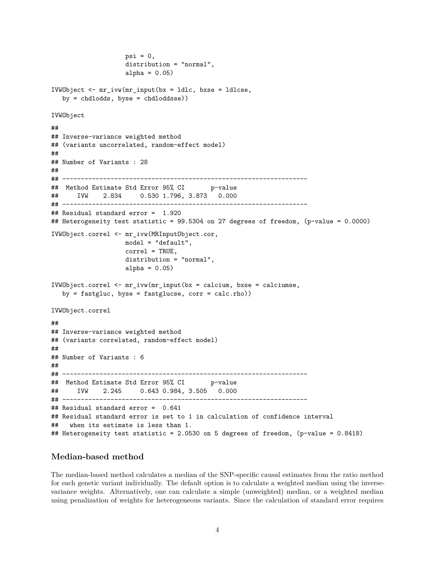```
psi = 0,
                   distribution = "normal",
                   alpha = 0.05)
IVWObject <- mr_ivw(mr_input(bx = ldlc, bxse = ldlcse,
  by = chdlodds, byse = chdloddsse)IVWObject
##
## Inverse-variance weighted method
## (variants uncorrelated, random-effect model)
##
## Number of Variants : 28
##
## ------------------------------------------------------------------
## Method Estimate Std Error 95% CI p-value
## IVW 2.834 0.530 1.796, 3.873 0.000
## ------------------------------------------------------------------
## Residual standard error = 1.920
## Heterogeneity test statistic = 99.5304 on 27 degrees of freedom, (p-value = 0.0000)
IVWObject.correl <- mr_ivw(MRInputObject.cor,
                   model = "default",
                   correl = TRUE,
                   distribution = "normal",
                   alpha = 0.05)
IVWObject.correl <- mr_ivw(mr_input(bx = calcium, bxse = calciumse,
  by = fastgluc, byse = fastglucse, corr = calc.rho))
IVWObject.correl
##
## Inverse-variance weighted method
## (variants correlated, random-effect model)
##
## Number of Variants : 6
##
## ------------------------------------------------------------------
## Method Estimate Std Error 95% CI p-value
## IVW 2.245 0.643 0.984, 3.505 0.000
## ------------------------------------------------------------------
## Residual standard error = 0.641
## Residual standard error is set to 1 in calculation of confidence interval
## when its estimate is less than 1.
## Heterogeneity test statistic = 2.0530 on 5 degrees of freedom, (p-value = 0.8418)
```
#### **Median-based method**

The median-based method calculates a median of the SNP-specific causal estimates from the ratio method for each genetic variant individually. The default option is to calculate a weighted median using the inversevariance weights. Alternatively, one can calculate a simple (unweighted) median, or a weighted median using penalization of weights for heterogeneous variants. Since the calculation of standard error requires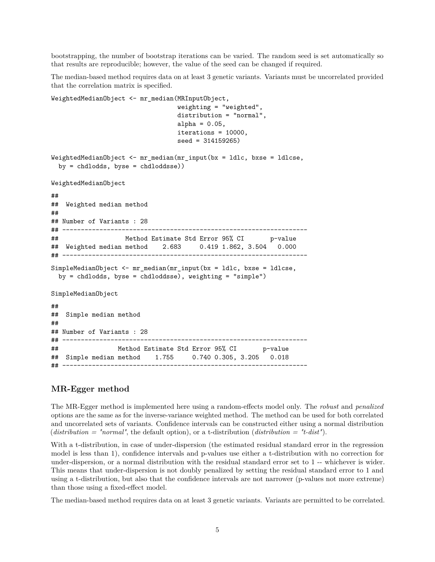bootstrapping, the number of bootstrap iterations can be varied. The random seed is set automatically so that results are reproducible; however, the value of the seed can be changed if required.

The median-based method requires data on at least 3 genetic variants. Variants must be uncorrelated provided that the correlation matrix is specified.

```
WeightedMedianObject <- mr median(MRInputObject,
                                 weighting = "weighted",
                                 distribution = "normal",
                                 alpha = 0.05,
                                 iterations = 10000,
                                 seed = 314159265)
WeightedMedianObject <- mr_median(mr_input(bx = ldlc, bxse = ldlcse,
 by = chdlodds, byse = chdloddsse))
WeightedMedianObject
##
## Weighted median method
##
## Number of Variants : 28
## ------------------------------------------------------------------
## Method Estimate Std Error 95% CI p-value
## Weighted median method 2.683 0.419 1.862, 3.504 0.000
## ------------------------------------------------------------------
SimpleMedianObject <- mr_median(mr_input(bx = ldlc, bxse = ldlcse,
 by = chdlodds, byse = chdloddsse), weighting = "simple")
SimpleMedianObject
##
## Simple median method
##
## Number of Variants : 28
## ------------------------------------------------------------------
## Method Estimate Std Error 95% CI p-value
## Simple median method 1.755 0.740 0.305, 3.205 0.018
## ------------------------------------------------------------------
```
#### **MR-Egger method**

The MR-Egger method is implemented here using a random-effects model only. The *robust* and *penalized* options are the same as for the inverse-variance weighted method. The method can be used for both correlated and uncorrelated sets of variants. Confidence intervals can be constructed either using a normal distribution (*distribution = "normal"*, the default option), or a t-distribution (*distribution = "t-dist"*).

With a t-distribution, in case of under-dispersion (the estimated residual standard error in the regression model is less than 1), confidence intervals and p-values use either a t-distribution with no correction for under-dispersion, or a normal distribution with the residual standard error set to 1 -- whichever is wider. This means that under-dispersion is not doubly penalized by setting the residual standard error to 1 and using a t-distribution, but also that the confidence intervals are not narrower (p-values not more extreme) than those using a fixed-effect model.

The median-based method requires data on at least 3 genetic variants. Variants are permitted to be correlated.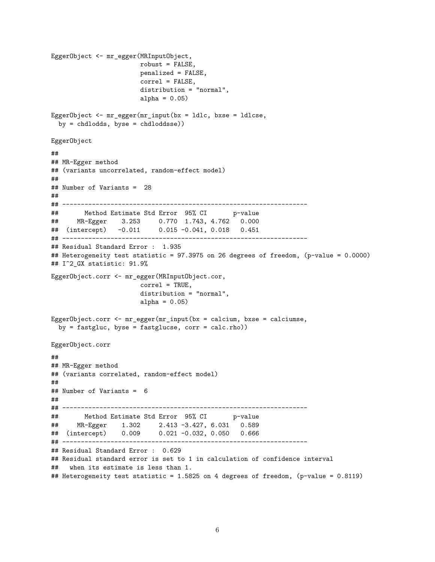```
EggerObject <- mr_egger(MRInputObject,
                       robust = FALSE,
                       penalized = FALSE,
                       correl = FALSE,
                       distribution = "normal",
                       alpha = 0.05)
EggerObject <- mr_egger(mr_input(bx = ldlc, bxse = ldlcse,
 by = chdlodds, byse = chdloddsse))
EggerObject
##
## MR-Egger method
## (variants uncorrelated, random-effect model)
##
## Number of Variants = 28
##
## ------------------------------------------------------------------
## Method Estimate Std Error 95% CI p-value
## MR-Egger 3.253 0.770 1.743, 4.762 0.000
## (intercept) -0.011 0.015 -0.041, 0.018 0.451
## ------------------------------------------------------------------
## Residual Standard Error : 1.935
## Heterogeneity test statistic = 97.3975 on 26 degrees of freedom, (p-value = 0.0000)
## I^2_GX statistic: 91.9%
EggerObject.corr <- mr_egger(MRInputObject.cor,
                       correl = TRUE,
                       distribution = "normal",
                       alpha = 0.05)
EggerObject.corr <- mr_egger(mr_input(bx = calcium, bxse = calciumse,
  by = fastgluc, byse = fastglucse, corr = calc.rho))
EggerObject.corr
##
## MR-Egger method
## (variants correlated, random-effect model)
##
## Number of Variants = 6
##
## ------------------------------------------------------------------
## Method Estimate Std Error 95% CI
## MR-Egger 1.302 2.413 -3.427, 6.031 0.589
## (intercept) 0.009 0.021 -0.032, 0.050 0.666
## ------------------------------------------------------------------
## Residual Standard Error : 0.629
## Residual standard error is set to 1 in calculation of confidence interval
## when its estimate is less than 1.
## Heterogeneity test statistic = 1.5825 on 4 degrees of freedom, (p-value = 0.8119)
```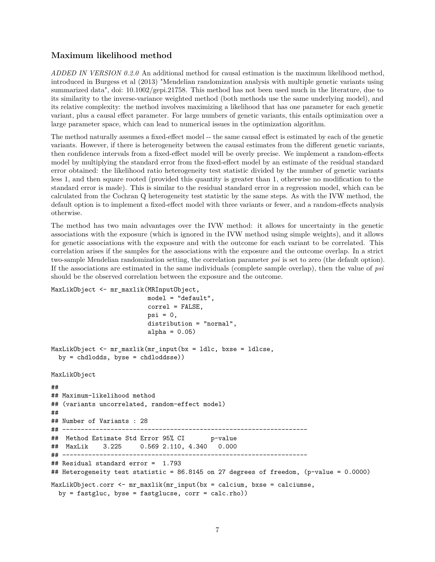### **Maximum likelihood method**

*ADDED IN VERSION 0.2.0* An additional method for causal estimation is the maximum likelihood method, introduced in Burgess et al (2013) "Mendelian randomization analysis with multiple genetic variants using summarized data", doi: 10.1002/gepi.21758. This method has not been used much in the literature, due to its similarity to the inverse-variance weighted method (both methods use the same underlying model), and its relative complexity: the method involves maximizing a likelihood that has one parameter for each genetic variant, plus a causal effect parameter. For large numbers of genetic variants, this entails optimization over a large parameter space, which can lead to numerical issues in the optimization algorithm.

The method naturally assumes a fixed-effect model -- the same causal effect is estimated by each of the genetic variants. However, if there is heterogeneity between the causal estimates from the different genetic variants, then confidence intervals from a fixed-effect model will be overly precise. We implement a random-effects model by multiplying the standard error from the fixed-effect model by an estimate of the residual standard error obtained: the likelihood ratio heterogeneity test statistic divided by the number of genetic variants less 1, and then square rooted (provided this quantity is greater than 1, otherwise no modification to the standard error is made). This is similar to the residual standard error in a regression model, which can be calculated from the Cochran Q heterogeneity test statistic by the same steps. As with the IVW method, the default option is to implement a fixed-effect model with three variants or fewer, and a random-effects analysis otherwise.

The method has two main advantages over the IVW method: it allows for uncertainty in the genetic associations with the exposure (which is ignored in the IVW method using simple weights), and it allows for genetic associations with the exposure and with the outcome for each variant to be correlated. This correlation arises if the samples for the associations with the exposure and the outcome overlap. In a strict two-sample Mendelian randomization setting, the correlation parameter *psi* is set to zero (the default option). If the associations are estimated in the same individuals (complete sample overlap), then the value of *psi* should be the observed correlation between the exposure and the outcome.

```
MaxLikObject <- mr_maxlik(MRInputObject,
                           model = "default",
                           correl = FALSE,
                           psi = 0,
                           distribution = "normal",
                           alpha = 0.05)
MaxLikObject <- mr_maxlik(mr_input(bx = ldlc, bxse = ldlcse,
  by = chdlodds, byse = chdloddsse))
MaxLikObject
##
## Maximum-likelihood method
## (variants uncorrelated, random-effect model)
##
## Number of Variants : 28
## ------------------------------------------------------------------
## Method Estimate Std Error 95% CI p-value
## MaxLik 3.225 0.569 2.110, 4.340 0.000
## ------------------------------------------------------------------
## Residual standard error = 1.793
## Heterogeneity test statistic = 86.8145 on 27 degrees of freedom, (p-value = 0.0000)
MaxLikObject.corr \leq mr maxlik(mr input(bx = calcium, bxse = calciumse,by = fastgluc, byse = fastglucse, corr = calc.rho))
```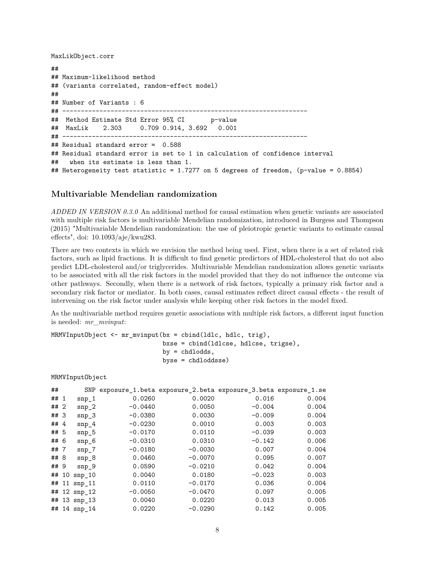MaxLikObject.corr

```
##
## Maximum-likelihood method
## (variants correlated, random-effect model)
##
## Number of Variants : 6
## ------------------------------------------------------------------
## Method Estimate Std Error 95% CI p-value
## MaxLik 2.303 0.709 0.914, 3.692 0.001
## ------------------------------------------------------------------
## Residual standard error = 0.588
## Residual standard error is set to 1 in calculation of confidence interval
## when its estimate is less than 1.
## Heterogeneity test statistic = 1.7277 on 5 degrees of freedom, (p-value = 0.8854)
```
#### **Multivariable Mendelian randomization**

*ADDED IN VERSION 0.3.0* An additional method for causal estimation when genetic variants are associated with multiple risk factors is multivariable Mendelian randomization, introduced in Burgess and Thompson (2015) "Multivariable Mendelian randomization: the use of pleiotropic genetic variants to estimate causal effects", doi: 10.1093/aje/kwu283.

There are two contexts in which we envision the method being used. First, when there is a set of related risk factors, such as lipid fractions. It is difficult to find genetic predictors of HDL-cholesterol that do not also predict LDL-cholesterol and/or triglycerides. Multivariable Mendelian randomization allows genetic variants to be associated with all the risk factors in the model provided that they do not influence the outcome via other pathways. Secondly, when there is a network of risk factors, typically a primary risk factor and a secondary risk factor or mediator. In both cases, causal estimates reflect direct causal effects - the result of intervening on the risk factor under analysis while keeping other risk factors in the model fixed.

As the multivariable method requires genetic associations with multiple risk factors, a different input function is needed: *mr\_mvinput*:

```
MRMVInputObject <- mr_mvinput(bx = cbind(ldlc, hdlc, trig),
                              bxse = cbind(ldlcse, hdlcse, trigse),
                              by = chdlodds,
                              byse = chdloddsse)
```
MRMVInputObject

| ##     |    | SNP          | exposure_1.beta exposure_2.beta exposure_3.beta exposure_1.se |           |          |       |
|--------|----|--------------|---------------------------------------------------------------|-----------|----------|-------|
| ## 1   |    | $snp_1$      | 0.0260                                                        | 0.0020    | 0.016    | 0.004 |
| ## 2   |    | $sup_2$      | $-0.0440$                                                     | 0.0050    | $-0.004$ | 0.004 |
| ## 3   |    | $sup_3$      | $-0.0380$                                                     | 0.0030    | $-0.009$ | 0.004 |
| ## $4$ |    | $snp_4$      | $-0.0230$                                                     | 0.0010    | 0.003    | 0.003 |
| ## 5   |    | $sup_{-5}$   | $-0.0170$                                                     | 0.0110    | $-0.039$ | 0.003 |
| ## 6   |    | $sup_{-6}$   | $-0.0310$                                                     | 0.0310    | $-0.142$ | 0.006 |
| ##7    |    | $snp_7$      | $-0.0180$                                                     | $-0.0030$ | 0.007    | 0.004 |
| ## 8   |    | sup8         | 0.0460                                                        | $-0.0070$ | 0.095    | 0.007 |
| ## 9   |    | $snp_9$      | 0.0590                                                        | $-0.0210$ | 0.042    | 0.004 |
| ##     | 10 | sup 10       | 0.0040                                                        | 0.0180    | $-0.023$ | 0.003 |
| ##     |    | $11$ snp_11  | 0.0110                                                        | $-0.0170$ | 0.036    | 0.004 |
| ##     |    | $12$ snp_12  | $-0.0050$                                                     | $-0.0470$ | 0.097    | 0.005 |
| ##     |    | $13$ snp_13  | 0.0040                                                        | 0.0220    | 0.013    | 0.005 |
|        |    | ## 14 snp_14 | 0.0220                                                        | $-0.0290$ | 0.142    | 0.005 |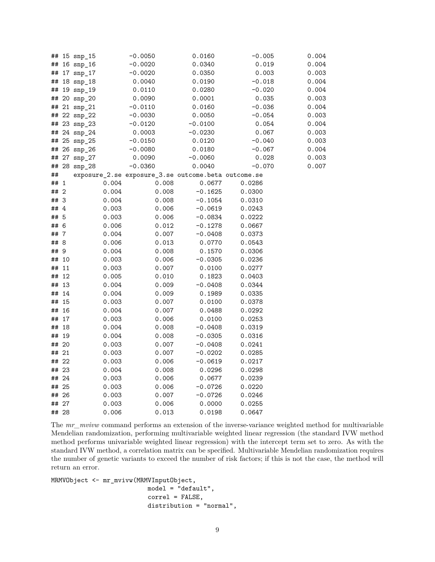| ##   |                | $15$ snp_15 |       | $-0.0050$                                           | 0.0160    | $-0.005$ | 0.004 |
|------|----------------|-------------|-------|-----------------------------------------------------|-----------|----------|-------|
| ##   |                | $16$ snp_16 |       | $-0.0020$                                           | 0.0340    | 0.019    | 0.004 |
| ##   |                | 17 snp_17   |       | $-0.0020$                                           | 0.0350    | 0.003    | 0.003 |
| ##   |                | 18 snp_18   |       | 0.0040                                              | 0.0190    | $-0.018$ | 0.004 |
| ##   |                | 19 snp_19   |       | 0.0110                                              | 0.0280    | $-0.020$ | 0.004 |
| ##   |                | 20 snp_20   |       | 0.0090                                              | 0.0001    | 0.035    | 0.003 |
| ##   |                | 21 snp_21   |       | $-0.0110$                                           | 0.0160    | $-0.036$ | 0.004 |
| ##   |                | 22 snp_22   |       | $-0.0030$                                           | 0.0050    | $-0.054$ | 0.003 |
| ##   |                | 23 snp_23   |       | $-0.0120$                                           | $-0.0100$ | 0.054    | 0.004 |
| ##   |                | 24 snp_24   |       | 0.0003                                              | $-0.0230$ | 0.067    | 0.003 |
| ##   |                | 25 snp_25   |       | $-0.0150$                                           | 0.0120    | $-0.040$ | 0.003 |
| ##   |                | 26 snp_26   |       | $-0.0080$                                           | 0.0180    | $-0.067$ | 0.004 |
| ##   |                | 27 snp_27   |       | 0.0090                                              | $-0.0060$ | 0.028    | 0.003 |
| ##   |                | 28 snp_28   |       | $-0.0360$                                           | 0.0040    | $-0.070$ | 0.007 |
| ##   |                |             |       | exposure_2.se exposure_3.se outcome.beta outcome.se |           |          |       |
| ##   | $\mathbf{1}$   |             | 0.004 | 0.008                                               | 0.0677    | 0.0286   |       |
| ##   | $\overline{2}$ |             | 0.004 | 0.008                                               | $-0.1625$ | 0.0300   |       |
| ##   | -3             |             | 0.004 | 0.008                                               | $-0.1054$ | 0.0310   |       |
| ## 4 |                |             | 0.003 | 0.006                                               | $-0.0619$ | 0.0243   |       |
| ## 5 |                |             | 0.003 | 0.006                                               | $-0.0834$ | 0.0222   |       |
| ## 6 |                |             | 0.006 | 0.012                                               | $-0.1278$ | 0.0667   |       |
| ##7  |                |             | 0.004 | 0.007                                               | $-0.0408$ | 0.0373   |       |
| ## 8 |                |             | 0.006 | 0.013                                               | 0.0770    | 0.0543   |       |
| ## 9 |                |             | 0.004 | 0.008                                               | 0.1570    | 0.0306   |       |
| ##   | 10             |             | 0.003 | 0.006                                               | $-0.0305$ | 0.0236   |       |
| ##   | 11             |             | 0.003 | 0.007                                               | 0.0100    | 0.0277   |       |
| ##   | 12             |             | 0.005 | 0.010                                               | 0.1823    | 0.0403   |       |
| ##   | 13             |             | 0.004 | 0.009                                               | $-0.0408$ | 0.0344   |       |
| ##   | 14             |             | 0.004 | 0.009                                               | 0.1989    | 0.0335   |       |
| ##   | 15             |             | 0.003 | 0.007                                               | 0.0100    | 0.0378   |       |
| ##   | 16             |             | 0.004 | 0.007                                               | 0.0488    | 0.0292   |       |
| ##   | 17             |             | 0.003 | 0.006                                               | 0.0100    | 0.0253   |       |
| ##   | 18             |             | 0.004 | 0.008                                               | $-0.0408$ | 0.0319   |       |
| ##   | 19             |             | 0.004 | 0.008                                               | $-0.0305$ | 0.0316   |       |
| ##   | 20             |             | 0.003 | 0.007                                               | $-0.0408$ | 0.0241   |       |
| ##   | 21             |             | 0.003 | 0.007                                               | $-0.0202$ | 0.0285   |       |
| ##   | 22             |             | 0.003 | 0.006                                               | $-0.0619$ | 0.0217   |       |
|      | ## 23          |             | 0.004 | 0.008                                               | 0.0296    | 0.0298   |       |
|      | ## 24          |             | 0.003 | 0.006                                               | 0.0677    | 0.0239   |       |
|      | ## 25          |             | 0.003 | 0.006                                               | $-0.0726$ | 0.0220   |       |
| ##   | 26             |             | 0.003 | 0.007                                               | $-0.0726$ | 0.0246   |       |
| ##   | 27             |             | 0.003 | 0.006                                               | 0.0000    | 0.0255   |       |
|      | ## 28          |             | 0.006 | 0.013                                               | 0.0198    | 0.0647   |       |
|      |                |             |       |                                                     |           |          |       |

The *mr\_mvivw* command performs an extension of the inverse-variance weighted method for multivariable Mendelian randomization, performing multivariable weighted linear regression (the standard IVW method method performs univariable weighted linear regression) with the intercept term set to zero. As with the standard IVW method, a correlation matrix can be specified. Multivariable Mendelian randomization requires the number of genetic variants to exceed the number of risk factors; if this is not the case, the method will return an error.

MRMVObject <- mr\_mvivw(MRMVInputObject, model = "default", correl = FALSE, distribution = "normal",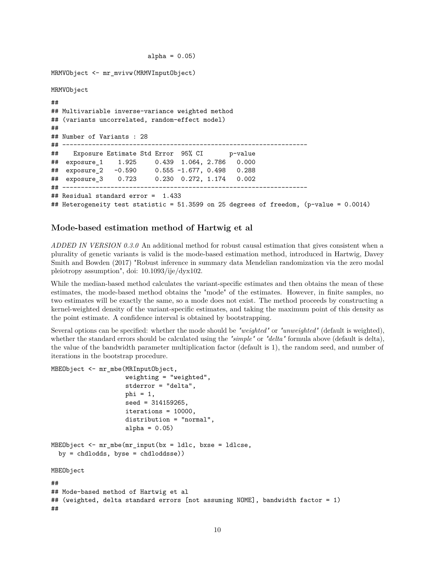```
alpha = 0.05)
```

```
MRMVObject <- mr_mvivw(MRMVInputObject)
MRMVObject
##
## Multivariable inverse-variance weighted method
## (variants uncorrelated, random-effect model)
##
## Number of Variants : 28
## ------------------------------------------------------------------
## Exposure Estimate Std Error 95% CI p-value
## exposure_1 1.925 0.439 1.064, 2.786 0.000
## exposure_2 -0.590 0.555 -1.677, 0.498 0.288
                 0.723 0.230 0.272, 1.174 0.002
## ------------------------------------------------------------------
## Residual standard error = 1.433
## Heterogeneity test statistic = 51.3599 on 25 degrees of freedom, (p-value = 0.0014)
```
#### **Mode-based estimation method of Hartwig et al**

*ADDED IN VERSION 0.3.0* An additional method for robust causal estimation that gives consistent when a plurality of genetic variants is valid is the mode-based estimation method, introduced in Hartwig, Davey Smith and Bowden (2017) "Robust inference in summary data Mendelian randomization via the zero modal pleiotropy assumption", doi: 10.1093/ije/dyx102.

While the median-based method calculates the variant-specific estimates and then obtains the mean of these estimates, the mode-based method obtains the "mode" of the estimates. However, in finite samples, no two estimates will be exactly the same, so a mode does not exist. The method proceeds by constructing a kernel-weighted density of the variant-specific estimates, and taking the maximum point of this density as the point estimate. A confidence interval is obtained by bootstrapping.

Several options can be specified: whether the mode should be *"weighted"* or *"unweighted"* (default is weighted), whether the standard errors should be calculated using the *"simple"* or *"delta"* formula above (default is delta), the value of the bandwidth parameter multiplication factor (default is 1), the random seed, and number of iterations in the bootstrap procedure.

```
MBEObject <- mr mbe(MRInputObject,
                    weighting = "weighted",
                    stderror = "delta",
                    phi = 1,
                    seed = 314159265,
                    iterations = 10000,
                    distribution = "normal",
                    alpha = 0.05)
MBEObject <- mr_mbe(mr_input(bx = ldlc, bxse = ldlcse,
  by = chdlodds, byse = chdloddsse))
MBEObject
##
## Mode-based method of Hartwig et al
## (weighted, delta standard errors [not assuming NOME], bandwidth factor = 1)
##
```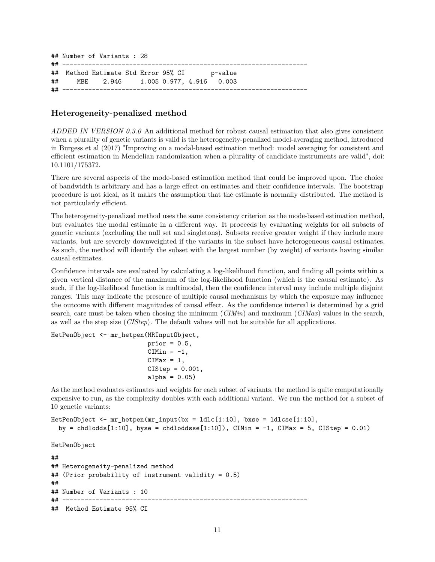## Number of Variants : 28 ## ------------------------------------------------------------------ ## Method Estimate Std Error 95% CI p-value ## MBE 2.946 1.005 0.977, 4.916 0.003 ## ------------------------------------------------------------------

## **Heterogeneity-penalized method**

*ADDED IN VERSION 0.3.0* An additional method for robust causal estimation that also gives consistent when a plurality of genetic variants is valid is the heterogeneity-penalized model-averaging method, introduced in Burgess et al (2017) "Improving on a modal-based estimation method: model averaging for consistent and efficient estimation in Mendelian randomization when a plurality of candidate instruments are valid", doi: 10.1101/175372.

There are several aspects of the mode-based estimation method that could be improved upon. The choice of bandwidth is arbitrary and has a large effect on estimates and their confidence intervals. The bootstrap procedure is not ideal, as it makes the assumption that the estimate is normally distributed. The method is not particularly efficient.

The heterogeneity-penalized method uses the same consistency criterion as the mode-based estimation method, but evaluates the modal estimate in a different way. It proceeds by evaluating weights for all subsets of genetic variants (excluding the null set and singletons). Subsets receive greater weight if they include more variants, but are severely downweighted if the variants in the subset have heterogeneous causal estimates. As such, the method will identify the subset with the largest number (by weight) of variants having similar causal estimates.

Confidence intervals are evaluated by calculating a log-likelihood function, and finding all points within a given vertical distance of the maximum of the log-likelihood function (which is the causal estimate). As such, if the log-likelihood function is multimodal, then the confidence interval may include multiple disjoint ranges. This may indicate the presence of multiple causal mechanisms by which the exposure may influence the outcome with different magnitudes of causal effect. As the confidence interval is determined by a grid search, care must be taken when chosing the minimum (*CIMin*) and maximum (*CIMax*) values in the search, as well as the step size (*CIStep*). The default values will not be suitable for all applications.

HetPenObject <- mr\_hetpen(MRInputObject,

```
prior = 0.5,
CIMin = -1,
CIMax = 1,
CIstop = 0.001,
alpha = 0.05)
```
As the method evaluates estimates and weights for each subset of variants, the method is quite computationally expensive to run, as the complexity doubles with each additional variant. We run the method for a subset of 10 genetic variants:

```
HetPenObject \leq -mr_\text{hetpen}(mr_\text{input}(bx = 1dlc[1:10]), bxse = 1dlcse[1:10],
  by = chdlodds[1:10], byse = chdloddsse[1:10]), CIMin = -1, CIMax = 5, CIStep = 0.01)
```

```
HetPenObject
```

```
##
## Heterogeneity-penalized method
## (Prior probability of instrument validity = 0.5)
##
## Number of Variants : 10
## ------------------------------------------------------------------
## Method Estimate 95% CI
```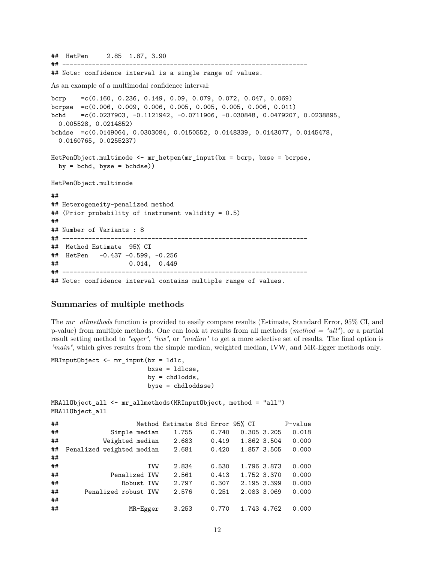## HetPen 2.85 1.87, 3.90

## ------------------------------------------------------------------ ## Note: confidence interval is a single range of values. As an example of a multimodal confidence interval: bcrp =c(0.160, 0.236, 0.149, 0.09, 0.079, 0.072, 0.047, 0.069) bcrpse =c(0.006, 0.009, 0.006, 0.005, 0.005, 0.005, 0.006, 0.011) bchd =c(0.0237903, -0.1121942, -0.0711906, -0.030848, 0.0479207, 0.0238895, 0.005528, 0.0214852) bchdse =c(0.0149064, 0.0303084, 0.0150552, 0.0148339, 0.0143077, 0.0145478, 0.0160765, 0.0255237) HetPenObject.multimode <- mr\_hetpen(mr\_input(bx = bcrp, bxse = bcrpse,  $by = bchd, byse = bchdse)$ HetPenObject.multimode ## ## Heterogeneity-penalized method ## (Prior probability of instrument validity = 0.5) ## ## Number of Variants : 8 ## ------------------------------------------------------------------ ## Method Estimate 95% CI ## HetPen -0.437 -0.599, -0.256 ## 0.014, 0.449 ## ------------------------------------------------------------------

## Note: confidence interval contains multiple range of values.

## **Summaries of multiple methods**

The *mr\_allmethods* function is provided to easily compare results (Estimate, Standard Error, 95% CI, and p-value) from multiple methods. One can look at results from all methods (*method = "all"*), or a partial result setting method to *"egger"*, *"ivw"*, or *"median"* to get a more selective set of results. The final option is *"main"*, which gives results from the simple median, weighted median, IVW, and MR-Egger methods only.

```
MRInputObject <- mr_input(bx = ldlc,
                           bxse = ldlcse,
                           by = chdlodds,
                          byse = chdloddsse)
```

```
MRAllObject_all <- mr_allmethods(MRInputObject, method = "all")
MRAllObject_all
## Method Estimate Std Error 95% CI P-value
## Simple median 1.755 0.740 0.305 3.205 0.018
## Weighted median 2.683 0.419 1.862 3.504 0.000
## Penalized weighted median 2.681 0.420 1.857 3.505 0.000
##
## IVW 2.834 0.530 1.796 3.873 0.000
## Penalized IVW 2.561 0.413 1.752 3.370 0.000
## Robust IVW 2.797 0.307 2.195 3.399 0.000
## Penalized robust IVW 2.576 0.251 2.083 3.069 0.000
##
## MR-Egger 3.253 0.770 1.743 4.762 0.000
```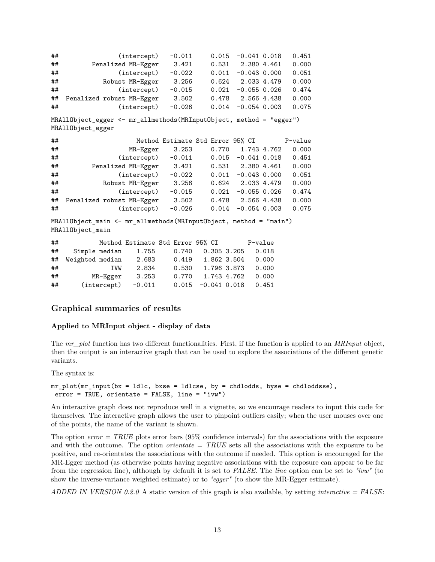```
## (intercept) -0.011 0.015 -0.041 0.018 0.451
## Penalized MR-Egger 3.421 0.531 2.380 4.461 0.000
## (intercept) -0.022 0.011 -0.043 0.000 0.051
## Robust MR-Egger 3.256 0.624 2.033 4.479 0.000
## (intercept) -0.015 0.021 -0.055 0.026 0.474
## Penalized robust MR-Egger 3.502 0.478 2.566 4.438 0.000
## (intercept) -0.026 0.014 -0.054 0.003 0.075
MRAllObject_egger <- mr_allmethods(MRInputObject, method = "egger")
MRAllObject_egger
## Method Estimate Std Error 95% CI P-value
## MR-Egger 3.253 0.770 1.743 4.762 0.000
## (intercept) -0.011 0.015 -0.041 0.018 0.451
## Penalized MR-Egger 3.421 0.531 2.380 4.461 0.000
## (intercept) -0.022 0.011 -0.043 0.000 0.051
## Robust MR-Egger 3.256 0.624 2.033 4.479 0.000
## (intercept) -0.015 0.021 -0.055 0.026 0.474
## Penalized robust MR-Egger 3.502 0.478 2.566 4.438 0.000
## (intercept) -0.026 0.014 -0.054 0.003 0.075
MRAllObject_main <- mr_allmethods(MRInputObject, method = "main")
MRAllObject_main
## Method Estimate Std Error 95% CI P-value
```

| .  |                 |          | $11001100$ $1100111000$ $1000$ $11100$ |                             |                   |       |
|----|-----------------|----------|----------------------------------------|-----------------------------|-------------------|-------|
| ## | Simple median   | 1.755    |                                        | $0.740$ $0.305$ 3.205 0.018 |                   |       |
| ## | Weighted median | 2.683    | 0.419                                  |                             | 1.862 3.504 0.000 |       |
| ## | <b>TVW</b>      | 2.834    | 0.530                                  |                             | 1.796 3.873 0.000 |       |
| ## | MR-Egger        | 3.253    | 0.770                                  |                             | 1.743 4.762       | 0.000 |
| ## | (intercept)     | $-0.011$ |                                        | $0.015 -0.041 0.018$        |                   | 0.451 |

#### **Graphical summaries of results**

#### **Applied to MRInput object - display of data**

The *mr\_plot* function has two different functionalities. First, if the function is applied to an *MRInput* object, then the output is an interactive graph that can be used to explore the associations of the different genetic variants.

The syntax is:

```
mr_plot(mr_input(bx = ldlc, bxse = ldlcse, by = chdlodds, byse = chdloddsse),
error = TRUE, orientate = FALSE, line = "ivw")
```
An interactive graph does not reproduce well in a vignette, so we encourage readers to input this code for themselves. The interactive graph allows the user to pinpoint outliers easily; when the user mouses over one of the points, the name of the variant is shown.

The option *error = TRUE* plots error bars (95% confidence intervals) for the associations with the exposure and with the outcome. The option *orientate = TRUE* sets all the associations with the exposure to be positive, and re-orientates the associations with the outcome if needed. This option is encouraged for the MR-Egger method (as otherwise points having negative associations with the exposure can appear to be far from the regression line), although by default it is set to *FALSE*. The *line* option can be set to *"ivw"* (to show the inverse-variance weighted estimate) or to *"egger"* (to show the MR-Egger estimate).

*ADDED IN VERSION 0.2.0* A static version of this graph is also available, by setting *interactive = FALSE*: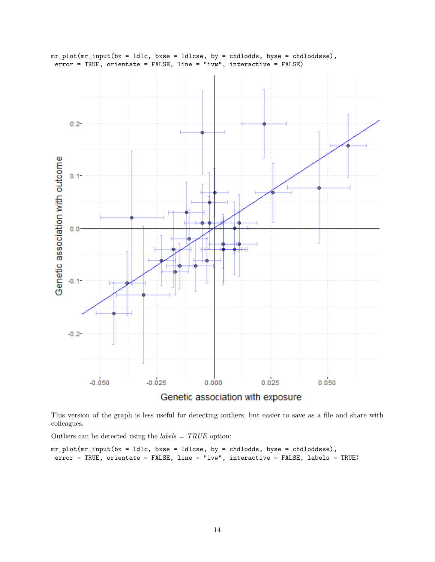

This version of the graph is less useful for detecting outliers, but easier to save as a file and share with colleagues.

Outliers can be detected using the *labels = TRUE* option:

 $mr\_plot(mr\_input(bx = 1dlc, bxse = 1dlcse, by = chdlodds, byse = chdloddsse),$ error = TRUE, orientate = FALSE, line = "ivw", interactive = FALSE, labels = TRUE)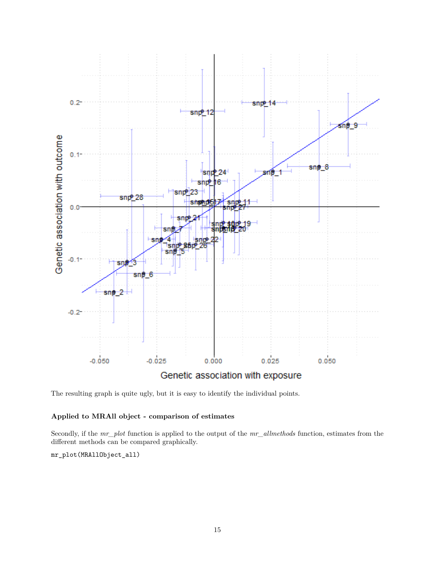

The resulting graph is quite ugly, but it is easy to identify the individual points.

#### **Applied to MRAll object - comparison of estimates**

Secondly, if the *mr\_plot* function is applied to the output of the *mr\_allmethods* function, estimates from the different methods can be compared graphically.

mr\_plot(MRAllObject\_all)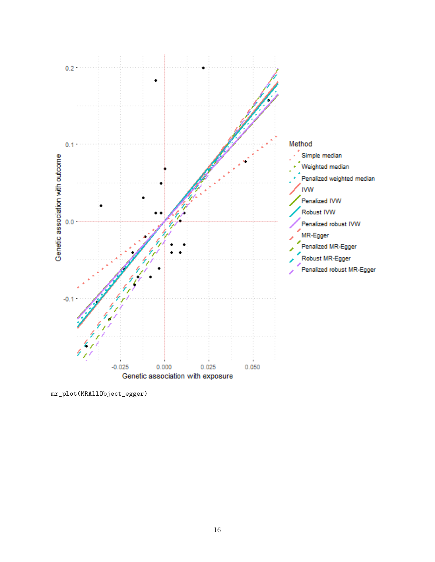

mr\_plot(MRAllObject\_egger)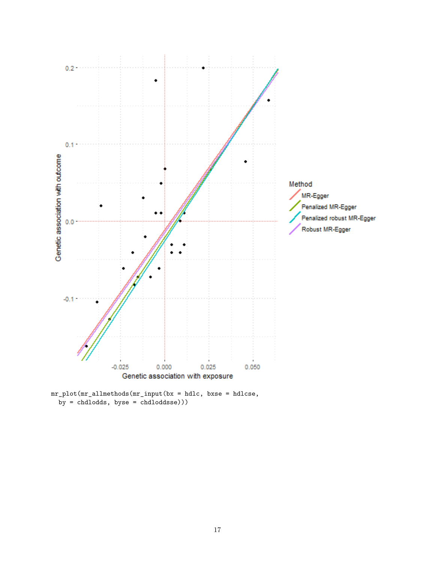

mr\_plot(mr\_allmethods(mr\_input(bx = hdlc, bxse = hdlcse,  $by = chdlodds, byse = chdloddsse))$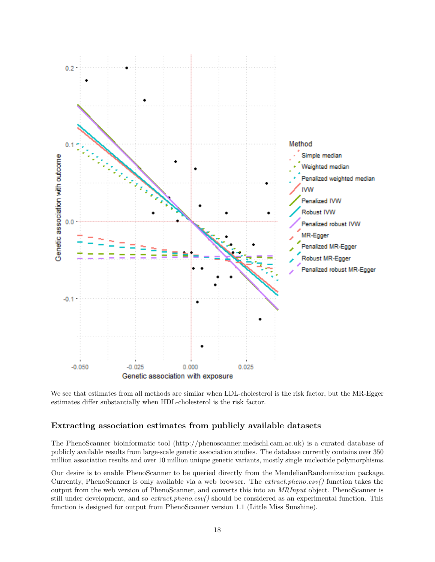

We see that estimates from all methods are similar when LDL-cholesterol is the risk factor, but the MR-Egger estimates differ substantially when HDL-cholesterol is the risk factor.

## **Extracting association estimates from publicly available datasets**

The PhenoScanner bioinformatic tool [\(http://phenoscanner.medschl.cam.ac.uk\)](http://phenoscanner.medschl.cam.ac.uk) is a curated database of publicly available results from large-scale genetic association studies. The database currently contains over 350 million association results and over 10 million unique genetic variants, mostly single nucleotide polymorphisms.

Our desire is to enable PhenoScanner to be queried directly from the MendelianRandomization package. Currently, PhenoScanner is only available via a web browser. The *extract.pheno.csv()* function takes the output from the web version of PhenoScanner, and converts this into an *MRInput* object. PhenoScanner is still under development, and so *extract.pheno.csv()* should be considered as an experimental function. This function is designed for output from PhenoScanner version 1.1 (Little Miss Sunshine).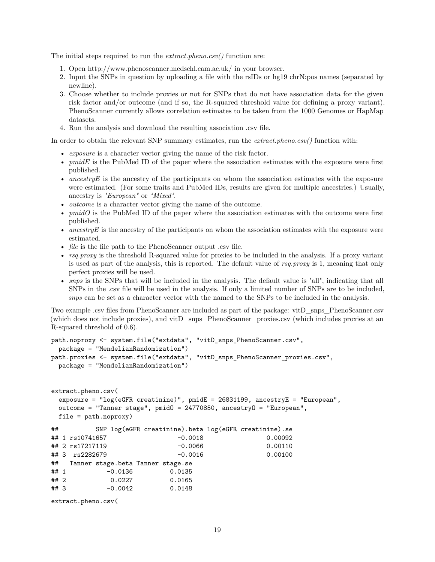The initial steps required to run the *extract.pheno.csv()* function are:

- 1. Open<http://www.phenoscanner.medschl.cam.ac.uk/> in your browser.
- 2. Input the SNPs in question by uploading a file with the rsIDs or hg19 chrN:pos names (separated by newline).
- 3. Choose whether to include proxies or not for SNPs that do not have association data for the given risk factor and/or outcome (and if so, the R-squared threshold value for defining a proxy variant). PhenoScanner currently allows correlation estimates to be taken from the 1000 Genomes or HapMap datasets.
- 4. Run the analysis and download the resulting association .csv file.

In order to obtain the relevant SNP summary estimates, run the *extract.pheno.csv()* function with:

- *exposure* is a character vector giving the name of the risk factor.
- *pmidE* is the PubMed ID of the paper where the association estimates with the exposure were first published.
- *ancestry E* is the ancestry of the participants on whom the association estimates with the exposure were estimated. (For some traits and PubMed IDs, results are given for multiple ancestries.) Usually, ancestry is *"European"* or *"Mixed"*.
- *outcome* is a character vector giving the name of the outcome.
- *pmidO* is the PubMed ID of the paper where the association estimates with the outcome were first published.
- *ancestryE* is the ancestry of the participants on whom the association estimates with the exposure were estimated.
- *file* is the file path to the PhenoScanner output .csv file.
- *rsq.proxy* is the threshold R-squared value for proxies to be included in the analysis. If a proxy variant is used as part of the analysis, this is reported. The default value of *rsq.proxy* is 1, meaning that only perfect proxies will be used.
- *snps* is the SNPs that will be included in the analysis. The default value is "all", indicating that all SNPs in the .csv file will be used in the analysis. If only a limited number of SNPs are to be included, *snps* can be set as a character vector with the named to the SNPs to be included in the analysis.

Two example .csv files from PhenoScanner are included as part of the package: vitD\_snps\_PhenoScanner.csv (which does not include proxies), and vitD\_snps\_PhenoScanner\_proxies.csv (which includes proxies at an R-squared threshold of 0.6).

```
path.noproxy <- system.file("extdata", "vitD_snps_PhenoScanner.csv",
 package = "MendelianRandomization")
path.proxies <- system.file("extdata", "vitD_snps_PhenoScanner_proxies.csv",
 package = "MendelianRandomization")
extract.pheno.csv(
 exposure = "log(eGFR creatinine)", pmidE = 26831199, ancestryE = "European",
 outcome = "Tanner stage", pmidO = 24770850, ancestryO = "European",
 file = path.noproxy)
## SNP log(eGFR creatinine).beta log(eGFR creatinine).se
## 1 rs10741657 -0.0018 0.00092
## 2 rs17217119 -0.0066 0.00110
## 3 rs2282679 -0.0016 0.00100
## Tanner stage.beta Tanner stage.se
## 1 -0.0136 0.0135
## 2 0.0227 0.0165
## 3 -0.0042 0.0148
extract.pheno.csv(
```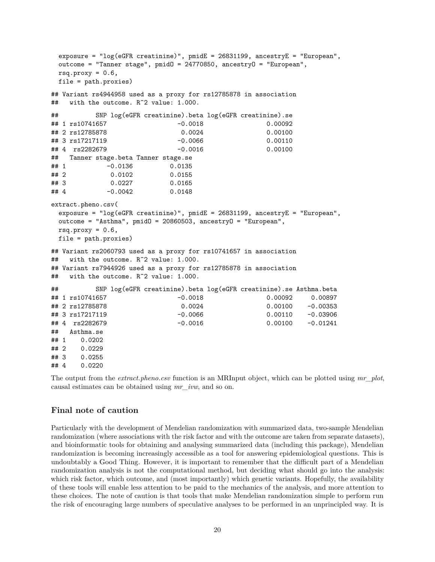```
exposure = "log(eGFR creatinine)", pmidE = 26831199, ancestryE = "European",
 outcome = "Tanner stage", pmidO = 24770850, ancestryO = "European",
 rsq.proxy = 0.6,
 file = path.proxies)
## Variant rs4944958 used as a proxy for rs12785878 in association
## with the outcome. R^2 value: 1.000.
## SNP log(eGFR creatinine).beta log(eGFR creatinine).se
## 1 rs10741657 -0.0018 0.00092
## 2 rs12785878 0.0024 0.00100
## 3 rs17217119 -0.0066 0.00110
## 4 rs2282679 -0.0016 0.00100
## Tanner stage.beta Tanner stage.se
## 1 -0.0136 0.0135
## 2 0.0102 0.0155
## 3 0.0227 0.0165
## 4 -0.0042 0.0148
extract.pheno.csv(
 exposure = "log(eGFR creatinine)", pmidE = 26831199, ancestryE = "European",
 outcome = "Asthma", pmidO = 20860503, ancestryO = "European",
 rsq.py = 0.6,
 file = path.proxies)
## Variant rs2060793 used as a proxy for rs10741657 in association
## with the outcome. R^2 value: 1.000.
## Variant rs7944926 used as a proxy for rs12785878 in association
## with the outcome. R^2 value: 1.000.
## SNP log(eGFR creatinine).beta log(eGFR creatinine).se Asthma.beta
## 1 rs10741657 -0.0018 0.00092 0.00897
## 2 rs12785878 0.0024 0.00100 -0.00353
## 3 rs17217119 -0.0066 0.00110 -0.03906
## 4 rs2282679 -0.0016 0.00100 -0.01241
## Asthma.se
## 1 0.0202
## 2 0.0229
## 3 0.0255
## 4 0.0220
```
The output from the *extract.pheno.csv* function is an MRInput object, which can be plotted using *mr\_plot*, causal estimates can be obtained using *mr\_ivw*, and so on.

#### **Final note of caution**

Particularly with the development of Mendelian randomization with summarized data, two-sample Mendelian randomization (where associations with the risk factor and with the outcome are taken from separate datasets), and bioinformatic tools for obtaining and analysing summarized data (including this package), Mendelian randomization is becoming increasingly accessible as a tool for answering epidemiological questions. This is undoubtably a Good Thing. However, it is important to remember that the difficult part of a Mendelian randomization analysis is not the computational method, but deciding what should go into the analysis: which risk factor, which outcome, and (most importantly) which genetic variants. Hopefully, the availability of these tools will enable less attention to be paid to the mechanics of the analysis, and more attention to these choices. The note of caution is that tools that make Mendelian randomization simple to perform run the risk of encouraging large numbers of speculative analyses to be performed in an unprincipled way. It is